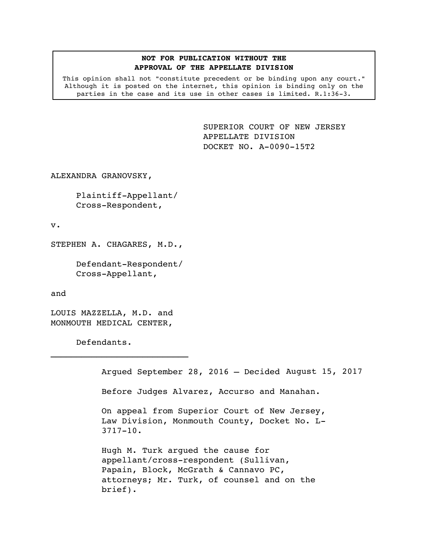## **NOT FOR PUBLICATION WITHOUT THE APPROVAL OF THE APPELLATE DIVISION**

This opinion shall not "constitute precedent or be binding upon any court." Although it is posted on the internet, this opinion is binding only on the parties in the case and its use in other cases is limited. R.1:36-3.

> <span id="page-0-0"></span>SUPERIOR COURT OF NEW JERSEY APPELLATE DIVISION DOCKET NO. A-0090-15T2

ALEXANDRA GRANOVSKY,

Plaintiff-Appellant/ Cross-Respondent,

v.

STEPHEN A. CHAGARES, M.D.,

Defendant-Respondent/ Cross-Appellant,

and

LOUIS MAZZELLA, M.D. and MONMOUTH MEDICAL CENTER,

 $\mathcal{L}_\text{max}$ 

Defendants.

Argued September 28, 2016 – Decided August 15, 2017

Before Judges Alvarez, Accurso and Manahan.

On appeal from Superior Court of New Jersey, Law Division, Monmouth County, Docket No. L-3717-10.

Hugh M. Turk argued the cause for appellant/cross-respondent (Sullivan, Papain, Block, McGrath & Cannavo PC, attorneys; Mr. Turk, of counsel and on the brief).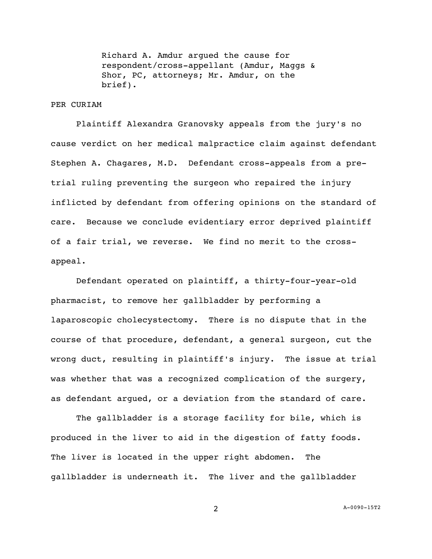Richard A. Amdur argued the cause for respondent/cross-appellant (Amdur, Maggs & Shor, PC, attorneys; Mr. Amdur, on the brief).

## PER CURIAM

Plaintiff Alexandra Granovsky appeals from the jury's no cause verdict on her medical malpractice claim against defendant Stephen A. Chagares, M.D. Defendant cross-appeals from a pretrial ruling preventing the surgeon who repaired the injury inflicted by defendant from offering opinions on the standard of care. Because we conclude evidentiary error deprived plaintiff of a fair trial, we reverse. We find no merit to the crossappeal.

Defendant operated on plaintiff, a thirty-four-year-old pharmacist, to remove her gallbladder by performing a laparoscopic cholecystectomy. There is no dispute that in the course of that procedure, defendant, a general surgeon, cut the wrong duct, resulting in plaintiff's injury. The issue at trial was whether that was a recognized complication of the surgery, as defendant argued, or a deviation from the standard of care.

The gallbladder is a storage facility for bile, which is produced in the liver to aid in the digestion of fatty foods. The liver is located in the upper right abdomen. The gallbladder is underneath it. The liver and the gallbladder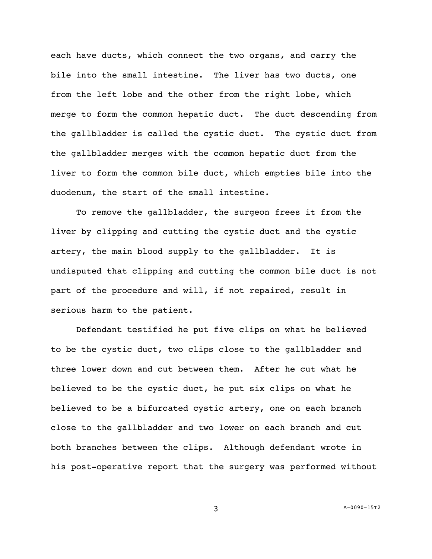each have ducts, which connect the two organs, and carry the bile into the small intestine. The liver has two ducts, one from the left lobe and the other from the right lobe, which merge to form the common hepatic duct. The duct descending from the gallbladder is called the cystic duct. The cystic duct from the gallbladder merges with the common hepatic duct from the liver to form the common bile duct, which empties bile into the duodenum, the start of the small intestine.

To remove the gallbladder, the surgeon frees it from the liver by clipping and cutting the cystic duct and the cystic artery, the main blood supply to the gallbladder. It is undisputed that clipping and cutting the common bile duct is not part of the procedure and will, if not repaired, result in serious harm to the patient.

Defendant testified he put five clips on what he believed to be the cystic duct, two clips close to the gallbladder and three lower down and cut between them. After he cut what he believed to be the cystic duct, he put six clips on what he believed to be a bifurcated cystic artery, one on each branch close to the gallbladder and two lower on each branch and cut both branches between the clips. Although defendant wrote in his post-operative report that the surgery was performed without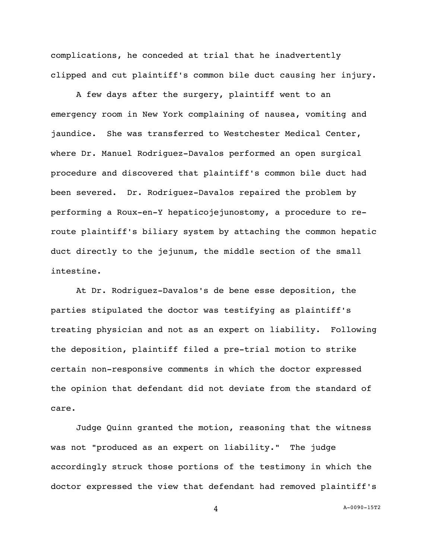complications, he conceded at trial that he inadvertently clipped and cut plaintiff's common bile duct causing her injury.

A few days after the surgery, plaintiff went to an emergency room in New York complaining of nausea, vomiting and jaundice. She was transferred to Westchester Medical Center, where Dr. Manuel Rodriguez-Davalos performed an open surgical procedure and discovered that plaintiff's common bile duct had been severed. Dr. Rodriguez-Davalos repaired the problem by performing a Roux-en-Y hepaticojejunostomy, a procedure to reroute plaintiff's biliary system by attaching the common hepatic duct directly to the jejunum, the middle section of the small intestine.

At Dr. Rodriguez-Davalos's de bene esse deposition, the parties stipulated the doctor was testifying as plaintiff's treating physician and not as an expert on liability. Following the deposition, plaintiff filed a pre-trial motion to strike certain non-responsive comments in which the doctor expressed the opinion that defendant did not deviate from the standard of care.

Judge Quinn granted the motion, reasoning that the witness was not "produced as an expert on liability." The judge accordingly struck those portions of the testimony in which the doctor expressed the view that defendant had removed plaintiff's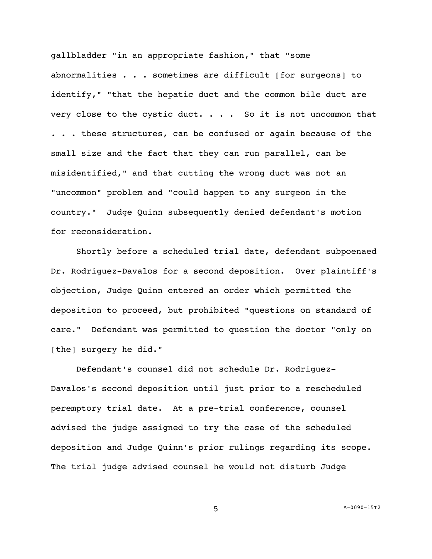gallbladder "in an appropriate fashion," that "some abnormalities . . . sometimes are difficult [for surgeons] to identify," "that the hepatic duct and the common bile duct are very close to the cystic duct.  $\ldots$  . So it is not uncommon that . . . these structures, can be confused or again because of the small size and the fact that they can run parallel, can be misidentified," and that cutting the wrong duct was not an "uncommon" problem and "could happen to any surgeon in the country." Judge Quinn subsequently denied defendant's motion for reconsideration.

Shortly before a scheduled trial date, defendant subpoenaed Dr. Rodriguez-Davalos for a second deposition. Over plaintiff's objection, Judge Quinn entered an order which permitted the deposition to proceed, but prohibited "questions on standard of care." Defendant was permitted to question the doctor "only on [the] surgery he did."

Defendant's counsel did not schedule Dr. Rodriguez-Davalos's second deposition until just prior to a rescheduled peremptory trial date. At a pre-trial conference, counsel advised the judge assigned to try the case of the scheduled deposition and Judge Quinn's prior rulings regarding its scope. The trial judge advised counsel he would not disturb Judge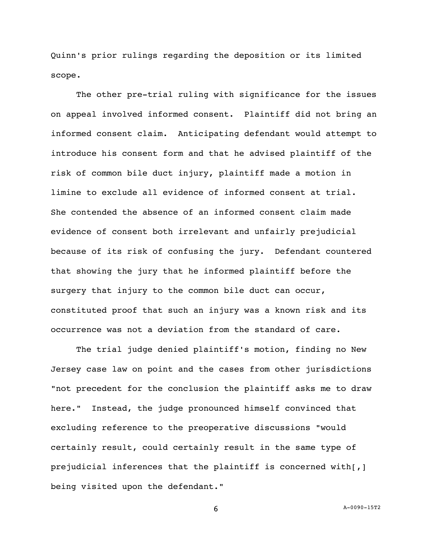Quinn's prior rulings regarding the deposition or its limited scope.

The other pre-trial ruling with significance for the issues on appeal involved informed consent. Plaintiff did not bring an informed consent claim. Anticipating defendant would attempt to introduce his consent form and that he advised plaintiff of the risk of common bile duct injury, plaintiff made a motion in limine to exclude all evidence of informed consent at trial. She contended the absence of an informed consent claim made evidence of consent both irrelevant and unfairly prejudicial because of its risk of confusing the jury. Defendant countered that showing the jury that he informed plaintiff before the surgery that injury to the common bile duct can occur, constituted proof that such an injury was a known risk and its occurrence was not a deviation from the standard of care.

The trial judge denied plaintiff's motion, finding no New Jersey case law on point and the cases from other jurisdictions "not precedent for the conclusion the plaintiff asks me to draw here." Instead, the judge pronounced himself convinced that excluding reference to the preoperative discussions "would certainly result, could certainly result in the same type of prejudicial inferences that the plaintiff is concerned with[,] being visited upon the defendant."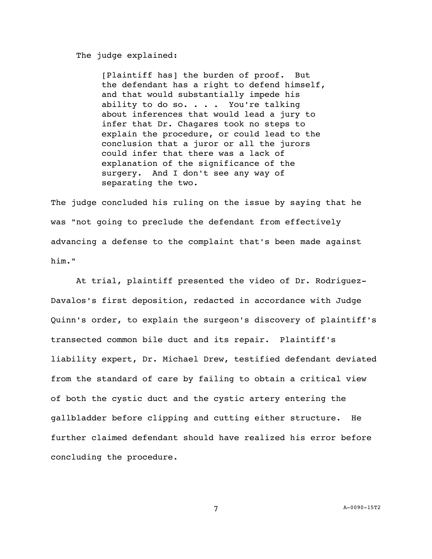## The judge explained:

[Plaintiff has] the burden of proof. But the defendant has a right to defend himself, and that would substantially impede his ability to do so. . . . You're talking about inferences that would lead a jury to infer that Dr. Chagares took no steps to explain the procedure, or could lead to the conclusion that a juror or all the jurors could infer that there was a lack of explanation of the significance of the surgery. And I don't see any way of separating the two.

The judge concluded his ruling on the issue by saying that he was "not going to preclude the defendant from effectively advancing a defense to the complaint that's been made against him."

At trial, plaintiff presented the video of Dr. Rodriguez-Davalos's first deposition, redacted in accordance with Judge Quinn's order, to explain the surgeon's discovery of plaintiff's transected common bile duct and its repair. Plaintiff's liability expert, Dr. Michael Drew, testified defendant deviated from the standard of care by failing to obtain a critical view of both the cystic duct and the cystic artery entering the gallbladder before clipping and cutting either structure. He further claimed defendant should have realized his error before concluding the procedure.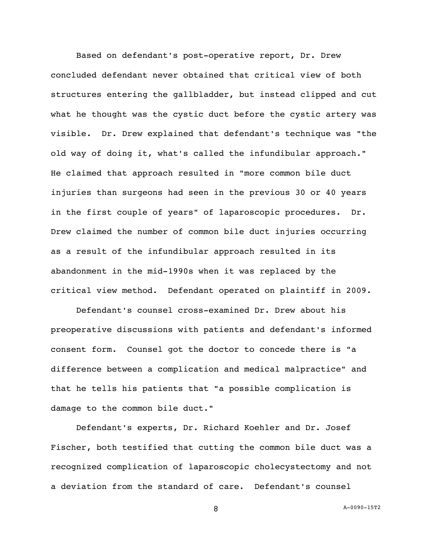Based on defendant's post-operative report, Dr. Drew concluded defendant never obtained that critical view of both structures entering the gallbladder, but instead clipped and cut what he thought was the cystic duct before the cystic artery was visible. Dr. Drew explained that defendant's technique was "the old way of doing it, what's called the infundibular approach." He claimed that approach resulted in "more common bile duct injuries than surgeons had seen in the previous 30 or 40 years in the first couple of years" of laparoscopic procedures. Dr. Drew claimed the number of common bile duct injuries occurring as a result of the infundibular approach resulted in its abandonment in the mid-1990s when it was replaced by the critical view method. Defendant operated on plaintiff in 2009.

Defendant's counsel cross-examined Dr. Drew about his preoperative discussions with patients and defendant's informed consent form. Counsel got the doctor to concede there is "a difference between a complication and medical malpractice" and that he tells his patients that "a possible complication is damage to the common bile duct."

Defendant's experts, Dr. Richard Koehler and Dr. Josef Fischer, both testified that cutting the common bile duct was a recognized complication of laparoscopic cholecystectomy and not a deviation from the standard of care. Defendant's counsel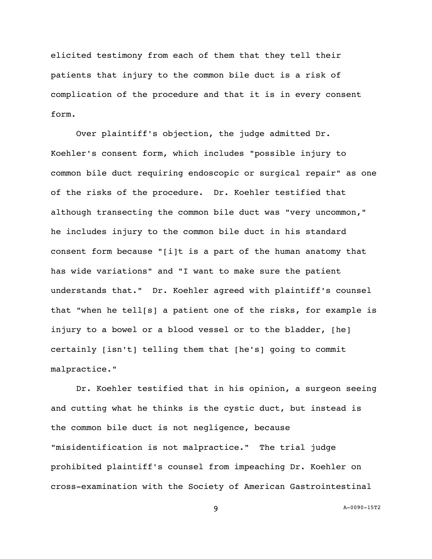elicited testimony from each of them that they tell their patients that injury to the common bile duct is a risk of complication of the procedure and that it is in every consent form.

Over plaintiff's objection, the judge admitted Dr. Koehler's consent form, which includes "possible injury to common bile duct requiring endoscopic or surgical repair" as one of the risks of the procedure. Dr. Koehler testified that although transecting the common bile duct was "very uncommon," he includes injury to the common bile duct in his standard consent form because "[i]t is a part of the human anatomy that has wide variations" and "I want to make sure the patient understands that." Dr. Koehler agreed with plaintiff's counsel that "when he tell[s] a patient one of the risks, for example is injury to a bowel or a blood vessel or to the bladder, [he] certainly [isn't] telling them that [he's] going to commit malpractice."

Dr. Koehler testified that in his opinion, a surgeon seeing and cutting what he thinks is the cystic duct, but instead is the common bile duct is not negligence, because "misidentification is not malpractice." The trial judge prohibited plaintiff's counsel from impeaching Dr. Koehler on cross-examination with the Society of American Gastrointestinal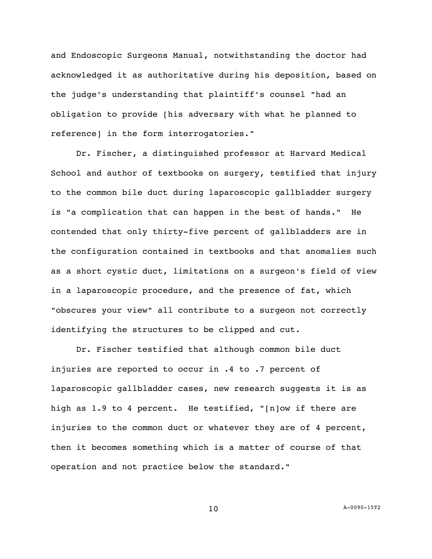and Endoscopic Surgeons Manual, notwithstanding the doctor had acknowledged it as authoritative during his deposition, based on the judge's understanding that plaintiff's counsel "had an obligation to provide [his adversary with what he planned to reference] in the form interrogatories."

Dr. Fischer, a distinguished professor at Harvard Medical School and author of textbooks on surgery, testified that injury to the common bile duct during laparoscopic gallbladder surgery is "a complication that can happen in the best of hands." He contended that only thirty-five percent of gallbladders are in the configuration contained in textbooks and that anomalies such as a short cystic duct, limitations on a surgeon's field of view in a laparoscopic procedure, and the presence of fat, which "obscures your view" all contribute to a surgeon not correctly identifying the structures to be clipped and cut.

Dr. Fischer testified that although common bile duct injuries are reported to occur in .4 to .7 percent of laparoscopic gallbladder cases, new research suggests it is as high as 1.9 to 4 percent. He testified, "[n]ow if there are injuries to the common duct or whatever they are of 4 percent, then it becomes something which is a matter of course of that operation and not practice below the standard."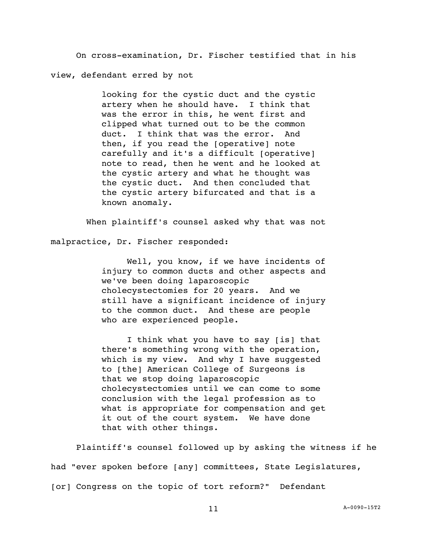On cross-examination, Dr. Fischer testified that in his view, defendant erred by not

> looking for the cystic duct and the cystic artery when he should have. I think that was the error in this, he went first and clipped what turned out to be the common duct. I think that was the error. And then, if you read the [operative] note carefully and it's a difficult [operative] note to read, then he went and he looked at the cystic artery and what he thought was the cystic duct. And then concluded that the cystic artery bifurcated and that is a known anomaly.

When plaintiff's counsel asked why that was not

malpractice, Dr. Fischer responded:

Well, you know, if we have incidents of injury to common ducts and other aspects and we've been doing laparoscopic cholecystectomies for 20 years. And we still have a significant incidence of injury to the common duct. And these are people who are experienced people.

I think what you have to say [is] that there's something wrong with the operation, which is my view. And why I have suggested to [the] American College of Surgeons is that we stop doing laparoscopic cholecystectomies until we can come to some conclusion with the legal profession as to what is appropriate for compensation and get it out of the court system. We have done that with other things.

Plaintiff's counsel followed up by asking the witness if he had "ever spoken before [any] committees, State Legislatures, [or] Congress on the topic of tort reform?" Defendant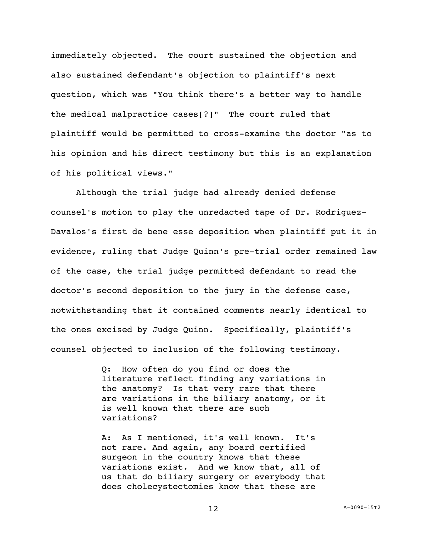immediately objected. The court sustained the objection and also sustained defendant's objection to plaintiff's next question, which was "You think there's a better way to handle the medical malpractice cases[?]" The court ruled that plaintiff would be permitted to cross-examine the doctor "as to his opinion and his direct testimony but this is an explanation of his political views."

Although the trial judge had already denied defense counsel's motion to play the unredacted tape of Dr. Rodriguez-Davalos's first de bene esse deposition when plaintiff put it in evidence, ruling that Judge Quinn's pre-trial order remained law of the case, the trial judge permitted defendant to read the doctor's second deposition to the jury in the defense case, notwithstanding that it contained comments nearly identical to the ones excised by Judge Quinn. Specifically, plaintiff's counsel objected to inclusion of the following testimony.

> Q: How often do you find or does the literature reflect finding any variations in the anatomy? Is that very rare that there are variations in the biliary anatomy, or it is well known that there are such variations?

> A: As I mentioned, it's well known. It's not rare. And again, any board certified surgeon in the country knows that these variations exist. And we know that, all of us that do biliary surgery or everybody that does cholecystectomies know that these are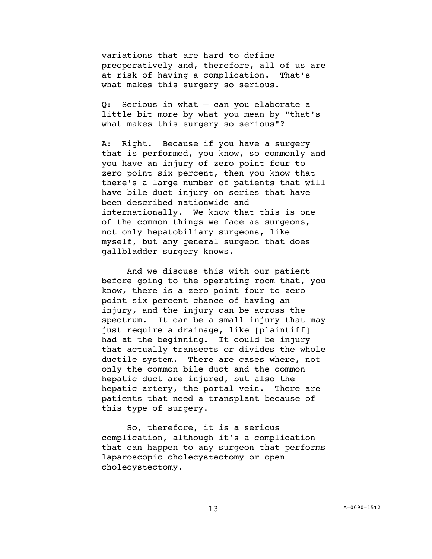variations that are hard to define preoperatively and, therefore, all of us are at risk of having a complication. That's what makes this surgery so serious.

Q: Serious in what — can you elaborate a little bit more by what you mean by "that's what makes this surgery so serious"?

A: Right. Because if you have a surgery that is performed, you know, so commonly and you have an injury of zero point four to zero point six percent, then you know that there's a large number of patients that will have bile duct injury on series that have been described nationwide and internationally. We know that this is one of the common things we face as surgeons, not only hepatobiliary surgeons, like myself, but any general surgeon that does gallbladder surgery knows.

And we discuss this with our patient before going to the operating room that, you know, there is a zero point four to zero point six percent chance of having an injury, and the injury can be across the spectrum. It can be a small injury that may just require a drainage, like [plaintiff] had at the beginning. It could be injury that actually transects or divides the whole ductile system. There are cases where, not only the common bile duct and the common hepatic duct are injured, but also the hepatic artery, the portal vein. There are patients that need a transplant because of this type of surgery.

So, therefore, it is a serious complication, although it's a complication that can happen to any surgeon that performs laparoscopic cholecystectomy or open cholecystectomy.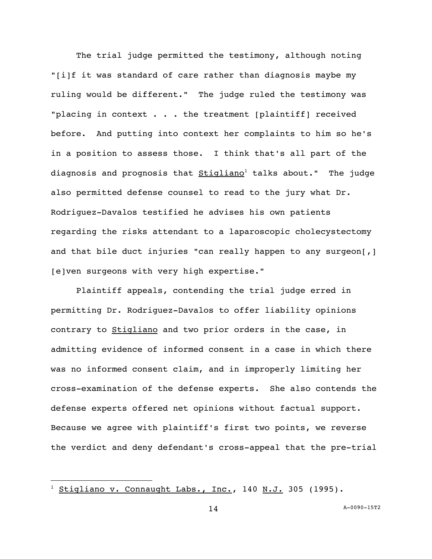The trial judge permitted the testimony, although noting "[i]f it was standard of care rather than diagnosis maybe my ruling would be different." The judge ruled the testimony was "placing in context . . . the treatment [plaintiff] received before. And putting into context her complaints to him so he's in a position to assess those. I think that's all part of the diagnosis and prognosis that  $Stigliano<sup>1</sup>$  talks about." The judge also permitted defense counsel to read to the jury what Dr. Rodriguez-Davalos testified he advises his own patients regarding the risks attendant to a laparoscopic cholecystectomy and that bile duct injuries "can really happen to any surgeon[,] [e]ven surgeons with very high expertise."

Plaintiff appeals, contending the trial judge erred in permitting Dr. Rodriguez-Davalos to offer liability opinions contrary to Stigliano and two prior orders in the case, in admitting evidence of informed consent in a case in which there was no informed consent claim, and in improperly limiting her cross-examination of the defense experts. She also contends the defense experts offered net opinions without factual support. Because we agree with plaintiff's first two points, we reverse the verdict and deny defendant's cross-appeal that the pre-trial

 $\overline{a}$ 

Stigliano v. Connaught Labs., Inc., 140 N.J. 305 (1995).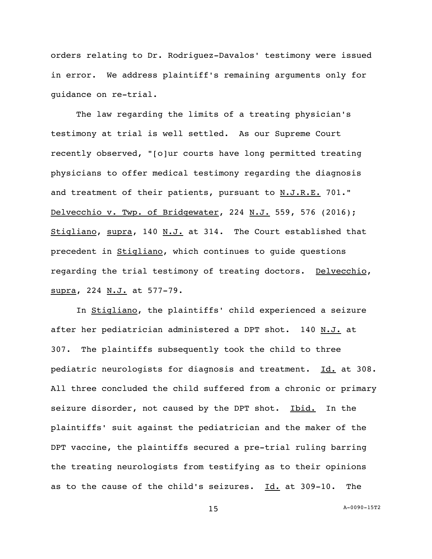orders relating to Dr. Rodriguez-Davalos' testimony were issued in error. We address plaintiff's remaining arguments only for guidance on re-trial.

The law regarding the limits of a treating physician's testimony at trial is well settled. As our Supreme Court recently observed, "[o]ur courts have long permitted treating physicians to offer medical testimony regarding the diagnosis and treatment of their patients, pursuant to N.J.R.E. 701." Delvecchio v. Twp. of Bridgewater, 224 N.J. 559, 576 (2016); Stigliano, supra, 140 N.J. at 314. The Court established that precedent in Stigliano, which continues to guide questions regarding the trial testimony of treating doctors. Delvecchio, supra, 224 N.J. at 577-79.

In Stigliano, the plaintiffs' child experienced a seizure after her pediatrician administered a DPT shot. 140 N.J. at 307. The plaintiffs subsequently took the child to three pediatric neurologists for diagnosis and treatment. Id. at 308. All three concluded the child suffered from a chronic or primary seizure disorder, not caused by the DPT shot. Ibid. In the plaintiffs' suit against the pediatrician and the maker of the DPT vaccine, the plaintiffs secured a pre-trial ruling barring the treating neurologists from testifying as to their opinions as to the cause of the child's seizures. Id. at 309-10. The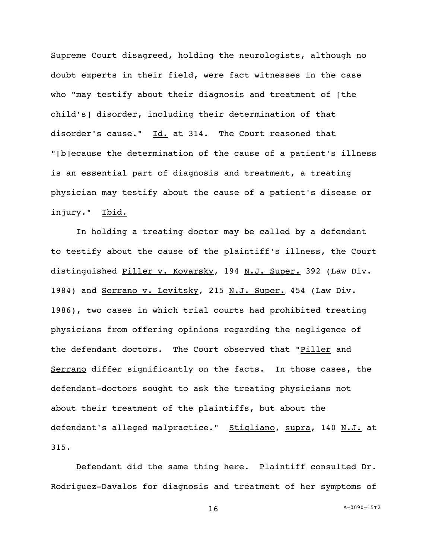Supreme Court disagreed, holding the neurologists, although no doubt experts in their field, were fact witnesses in the case who "may testify about their diagnosis and treatment of [the child's] disorder, including their determination of that disorder's cause."  $Id.$  at 314. The Court reasoned that "[b]ecause the determination of the cause of a patient's illness is an essential part of diagnosis and treatment, a treating physician may testify about the cause of a patient's disease or injury." Ibid.

In holding a treating doctor may be called by a defendant to testify about the cause of the plaintiff's illness, the Court distinguished Piller v. Kovarsky*,* 194 N.J. Super. 392 (Law Div. 1984) and Serrano v. Levitsky*,* 215 N.J. Super. 454 (Law Div. 1986), two cases in which trial courts had prohibited treating physicians from offering opinions regarding the negligence of the defendant doctors. The Court observed that "Piller and Serrano differ significantly on the facts. In those cases, the defendant-doctors sought to ask the treating physicians not about their treatment of the plaintiffs, but about the defendant's alleged malpractice." Stigliano, supra, 140 N.J. at 315.

Defendant did the same thing here. Plaintiff consulted Dr. Rodriguez-Davalos for diagnosis and treatment of her symptoms of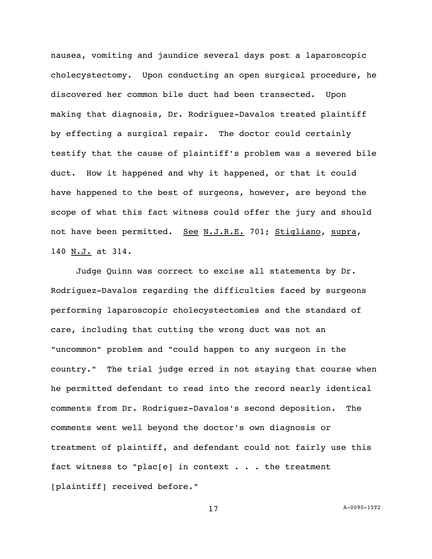nausea, vomiting and jaundice several days post a laparoscopic cholecystectomy. Upon conducting an open surgical procedure, he discovered her common bile duct had been transected. Upon making that diagnosis, Dr. Rodriguez-Davalos treated plaintiff by effecting a surgical repair. The doctor could certainly testify that the cause of plaintiff's problem was a severed bile duct. How it happened and why it happened, or that it could have happened to the best of surgeons, however, are beyond the scope of what this fact witness could offer the jury and should not have been permitted. See N.J.R.E. 701; Stigliano, supra, 140 N.J. at 314.

Judge Quinn was correct to excise all statements by Dr. Rodriguez-Davalos regarding the difficulties faced by surgeons performing laparoscopic cholecystectomies and the standard of care, including that cutting the wrong duct was not an "uncommon" problem and "could happen to any surgeon in the country." The trial judge erred in not staying that course when he permitted defendant to read into the record nearly identical comments from Dr. Rodriguez-Davalos's second deposition. The comments went well beyond the doctor's own diagnosis or treatment of plaintiff, and defendant could not fairly use this fact witness to "plac[e] in context  $\ldots$  the treatment [plaintiff] received before."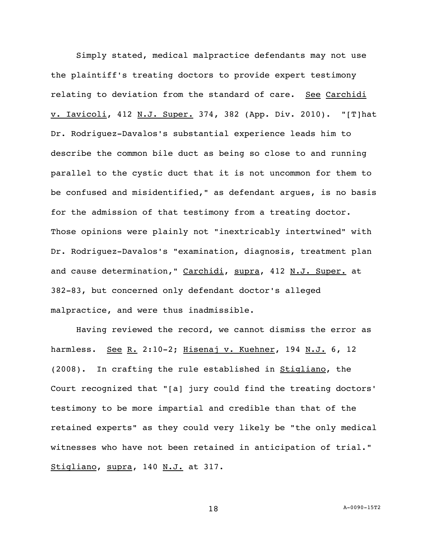Simply stated, medical malpractice defendants may not use the plaintiff's treating doctors to provide expert testimony relating to deviation from the standard of care. See Carchidi v. Iavicoli, 412 N.J. Super. 374, 382 (App. Div. 2010). "[T]hat Dr. Rodriguez-Davalos's substantial experience leads him to describe the common bile duct as being so close to and running parallel to the cystic duct that it is not uncommon for them to be confused and misidentified," as defendant argues, is no basis for the admission of that testimony from a treating doctor. Those opinions were plainly not "inextricably intertwined" with Dr. Rodriguez-Davalos's "examination, diagnosis, treatment plan and cause determination," Carchidi, supra, 412 N.J. Super. at 382-83, but concerned only defendant doctor's alleged malpractice, and were thus inadmissible.

Having reviewed the record, we cannot dismiss the error as harmless. See R. 2:10-2; Hisenaj v. Kuehner, 194 N.J. 6, 12 (2008). In crafting the rule established in **Stigliano**, the Court recognized that "[a] jury could find the treating doctors' testimony to be more impartial and credible than that of the retained experts" as they could very likely be "the only medical witnesses who have not been retained in anticipation of trial." Stigliano, supra, 140 N.J. at 317.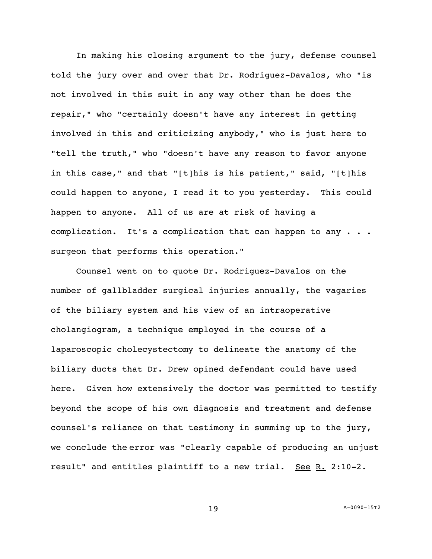In making his closing argument to the jury, defense counsel told the jury over and over that Dr. Rodriguez-Davalos, who "is not involved in this suit in any way other than he does the repair," who "certainly doesn't have any interest in getting involved in this and criticizing anybody," who is just here to "tell the truth," who "doesn't have any reason to favor anyone in this case," and that "[t]his is his patient," said, "[t]his could happen to anyone, I read it to you yesterday. This could happen to anyone. All of us are at risk of having a complication. It's a complication that can happen to any . . . surgeon that performs this operation."

Counsel went on to quote Dr. Rodriguez-Davalos on the number of gallbladder surgical injuries annually, the vagaries of the biliary system and his view of an intraoperative cholangiogram, a technique employed in the course of a laparoscopic cholecystectomy to delineate the anatomy of the biliary ducts that Dr. Drew opined defendant could have used here. Given how extensively the doctor was permitted to testify beyond the scope of his own diagnosis and treatment and defense counsel's reliance on that testimony in summing up to the jury, we conclude the error was "clearly capable of producing an unjust result" and entitles plaintiff to a new trial. See  $R. 2:10-2.$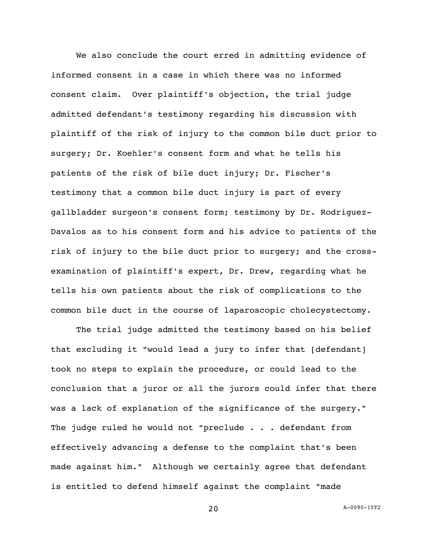We also conclude the court erred in admitting evidence of informed consent in a case in which there was no informed consent claim. Over plaintiff's objection, the trial judge admitted defendant's testimony regarding his discussion with plaintiff of the risk of injury to the common bile duct prior to surgery; Dr. Koehler's consent form and what he tells his patients of the risk of bile duct injury; Dr. Fischer's testimony that a common bile duct injury is part of every gallbladder surgeon's consent form; testimony by Dr. Rodriguez-Davalos as to his consent form and his advice to patients of the risk of injury to the bile duct prior to surgery; and the crossexamination of plaintiff's expert, Dr. Drew, regarding what he tells his own patients about the risk of complications to the common bile duct in the course of laparoscopic cholecystectomy.

The trial judge admitted the testimony based on his belief that excluding it "would lead a jury to infer that [defendant] took no steps to explain the procedure, or could lead to the conclusion that a juror or all the jurors could infer that there was a lack of explanation of the significance of the surgery." The judge ruled he would not "preclude . . . defendant from effectively advancing a defense to the complaint that's been made against him." Although we certainly agree that defendant is entitled to defend himself against the complaint "made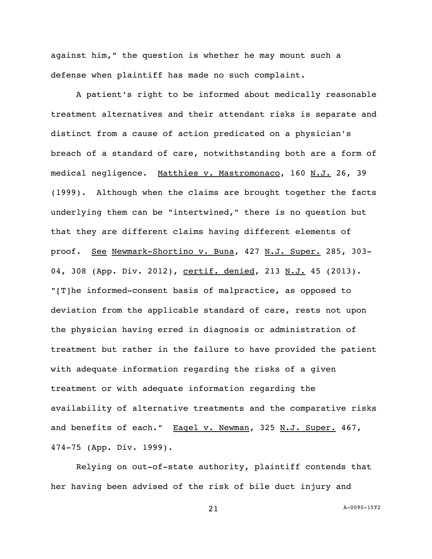against him," the question is whether he may mount such a defense when plaintiff has made no such complaint.

A patient's right to be informed about medically reasonable treatment alternatives and their attendant risks is separate and distinct from a cause of action predicated on a physician's breach of a standard of care, notwithstanding both are a form of medical negligence. Matthies v. Mastromonaco, 160 N.J. 26, 39 (1999). Although when the claims are brought together the facts underlying them can be "intertwined," there is no question but that they are different claims having different elements of proof. See Newmark-Shortino v. Buna, 427 N.J. Super. 285, 303-04, 308 (App. Div. 2012), certif. denied, 213 N.J. 45 (2013). "[T]he informed-consent basis of malpractice, as opposed to deviation from the applicable standard of care, rests not upon the physician having erred in diagnosis or administration of treatment but rather in the failure to have provided the patient with adequate information regarding the risks of a given treatment or with adequate information regarding the availability of alternative treatments and the comparative risks and benefits of each." Eagel v. Newman, 325 N.J. Super. 467, 474-75 (App. Div. 1999).

Relying on out-of-state authority, plaintiff contends that her having been advised of the risk of bile duct injury and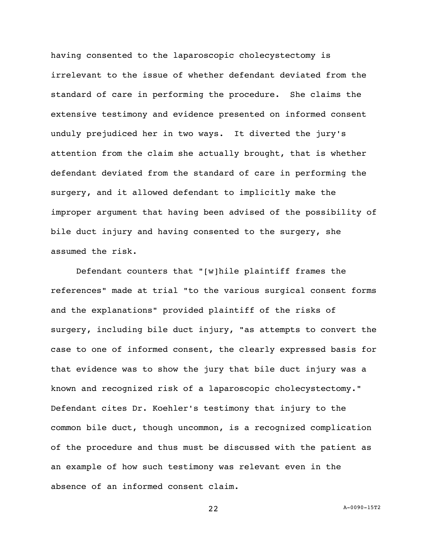having consented to the laparoscopic cholecystectomy is irrelevant to the issue of whether defendant deviated from the standard of care in performing the procedure. She claims the extensive testimony and evidence presented on informed consent unduly prejudiced her in two ways. It diverted the jury's attention from the claim she actually brought, that is whether defendant deviated from the standard of care in performing the surgery, and it allowed defendant to implicitly make the improper argument that having been advised of the possibility of bile duct injury and having consented to the surgery, she assumed the risk.

Defendant counters that "[w]hile plaintiff frames the references" made at trial "to the various surgical consent forms and the explanations" provided plaintiff of the risks of surgery, including bile duct injury, "as attempts to convert the case to one of informed consent, the clearly expressed basis for that evidence was to show the jury that bile duct injury was a known and recognized risk of a laparoscopic cholecystectomy." Defendant cites Dr. Koehler's testimony that injury to the common bile duct, though uncommon, is a recognized complication of the procedure and thus must be discussed with the patient as an example of how such testimony was relevant even in the absence of an informed consent claim.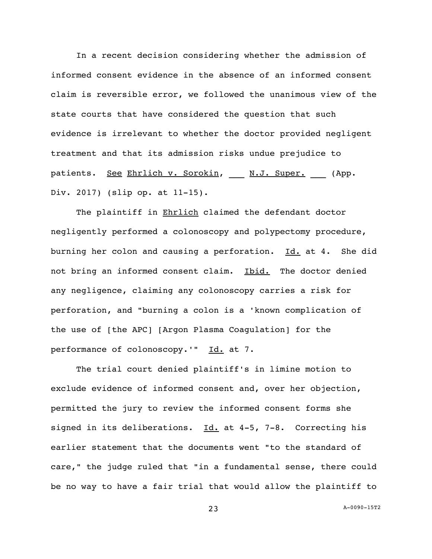In a recent decision considering whether the admission of informed consent evidence in the absence of an informed consent claim is reversible error, we followed the unanimous view of the state courts that have considered the question that such evidence is irrelevant to whether the doctor provided negligent treatment and that its admission risks undue prejudice to patients. See Ehrlich v. Sorokin, \_\_\_ N.J. Super. \_\_\_ (App. Div. 2017) (slip op. at 11-15).

The plaintiff in Ehrlich claimed the defendant doctor negligently performed a colonoscopy and polypectomy procedure, burning her colon and causing a perforation. Id. at 4. She did not bring an informed consent claim. Ibid. The doctor denied any negligence, claiming any colonoscopy carries a risk for perforation, and "burning a colon is a 'known complication of the use of [the APC] [Argon Plasma Coagulation] for the performance of colonoscopy.'" Id. at 7.

The trial court denied plaintiff's in limine motion to exclude evidence of informed consent and, over her objection, permitted the jury to review the informed consent forms she signed in its deliberations. Id. at 4-5, 7-8. Correcting his earlier statement that the documents went "to the standard of care," the judge ruled that "in a fundamental sense, there could be no way to have a fair trial that would allow the plaintiff to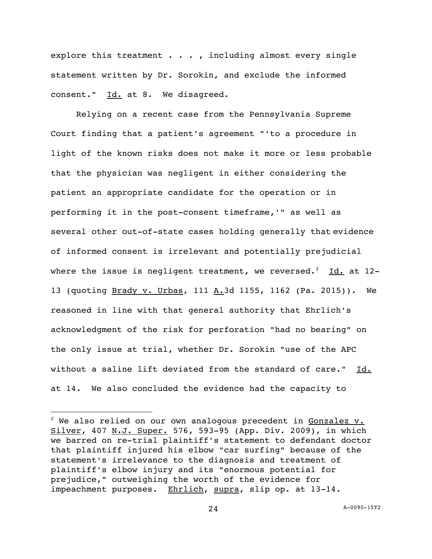explore this treatment  $\ldots$ , including almost every single statement written by Dr. Sorokin, and exclude the informed consent." Id. at 8. We disagreed.

Relying on a recent case from the Pennsylvania Supreme Court finding that a patient's agreement "'to a procedure in light of the known risks does not make it more or less probable that the physician was negligent in either considering the patient an appropriate candidate for the operation or in performing it in the post-consent timeframe,'" as well as several other out-of-state cases holding generally that evidence of informed consent is irrelevant and potentially prejudicial where the issue is negligent treatment, we reversed.<sup>2</sup> Id. at 12-13 (quoting Brady v. Urbas, 111 A.3d 1155, 1162 (Pa. 2015)). We reasoned in line with that general authority that Ehrlich's acknowledgment of the risk for perforation "had no bearing" on the only issue at trial, whether Dr. Sorokin "use of the APC without a saline lift deviated from the standard of care." Id. at 14. We also concluded the evidence had the capacity to

 $\overline{a}$ 

 $2$  We also relied on our own analogous precedent in Gonzalez  $v_{\cdot}$ Silver, 407 N.J. Super. 576, 593-95 (App. Div. 2009), in which we barred on re-trial plaintiff's statement to defendant doctor that plaintiff injured his elbow "car surfing" because of the statement's irrelevance to the diagnosis and treatment of plaintiff's elbow injury and its "enormous potential for prejudice," outweighing the worth of the evidence for impeachment purposes. Ehrlich, supra, slip op. at 13-14.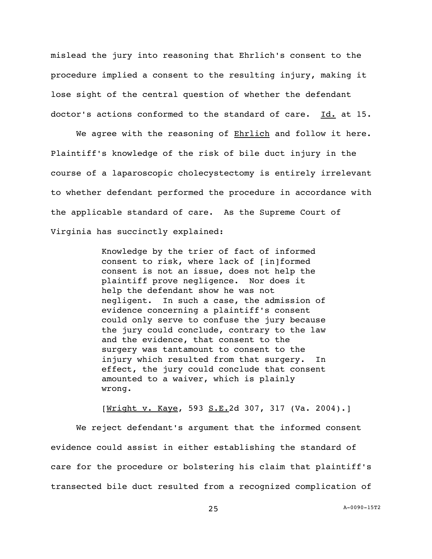mislead the jury into reasoning that Ehrlich's consent to the procedure implied a consent to the resulting injury, making it lose sight of the central question of whether the defendant doctor's actions conformed to the standard of care. Id. at 15.

We agree with the reasoning of **Ehrlich** and follow it here. Plaintiff's knowledge of the risk of bile duct injury in the course of a laparoscopic cholecystectomy is entirely irrelevant to whether defendant performed the procedure in accordance with the applicable standard of care. As the Supreme Court of Virginia has succinctly explained:

> Knowledge by the trier of fact of informed consent to risk, where lack of [in]formed consent is not an issue, does not help the plaintiff prove negligence. Nor does it help the defendant show he was not negligent. In such a case, the admission of evidence concerning a plaintiff's consent could only serve to confuse the jury because the jury could conclude, contrary to the law and the evidence, that consent to the surgery was tantamount to consent to the injury which resulted from that surgery. In effect, the jury could conclude that consent amounted to a waiver, which is plainly wrong.

[Wright v. Kaye, 593 S.E. 2d 307, 317 (Va. 2004).]

We reject defendant's argument that the informed consent evidence could assist in either establishing the standard of care for the procedure or bolstering his claim that plaintiff's transected bile duct resulted from a recognized complication of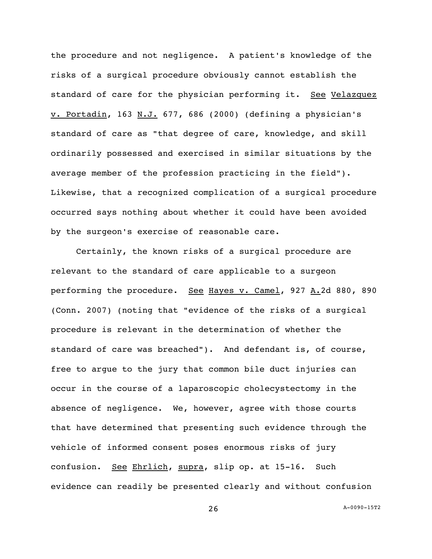the procedure and not negligence. A patient's knowledge of the risks of a surgical procedure obviously cannot establish the standard of care for the physician performing it. See Velazquez v. Portadin, 163 N.J. 677, 686 (2000) (defining a physician's standard of care as "that degree of care, knowledge, and skill ordinarily possessed and exercised in similar situations by the average member of the profession practicing in the field"). Likewise, that a recognized complication of a surgical procedure occurred says nothing about whether it could have been avoided by the surgeon's exercise of reasonable care.

Certainly, the known risks of a surgical procedure are relevant to the standard of care applicable to a surgeon performing the procedure. See Hayes v. Camel, 927 A.2d 880, 890 (Conn. 2007) (noting that "evidence of the risks of a surgical procedure is relevant in the determination of whether the standard of care was breached"). And defendant is, of course, free to argue to the jury that common bile duct injuries can occur in the course of a laparoscopic cholecystectomy in the absence of negligence. We, however, agree with those courts that have determined that presenting such evidence through the vehicle of informed consent poses enormous risks of jury confusion. See Ehrlich, supra, slip op. at 15-16. Such evidence can readily be presented clearly and without confusion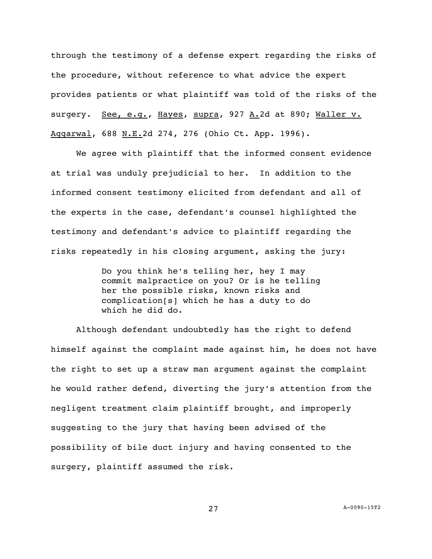through the testimony of a defense expert regarding the risks of the procedure, without reference to what advice the expert provides patients or what plaintiff was told of the risks of the surgery. See, e.g., Hayes, supra, 927 A.2d at 890; Waller v. Aggarwal, 688 N.E.2d 274, 276 (Ohio Ct. App. 1996).

We agree with plaintiff that the informed consent evidence at trial was unduly prejudicial to her. In addition to the informed consent testimony elicited from defendant and all of the experts in the case, defendant's counsel highlighted the testimony and defendant's advice to plaintiff regarding the risks repeatedly in his closing argument, asking the jury:

> Do you think he's telling her, hey I may commit malpractice on you? Or is he telling her the possible risks, known risks and complication[s] which he has a duty to do which he did do.

Although defendant undoubtedly has the right to defend himself against the complaint made against him, he does not have the right to set up a straw man argument against the complaint he would rather defend, diverting the jury's attention from the negligent treatment claim plaintiff brought, and improperly suggesting to the jury that having been advised of the possibility of bile duct injury and having consented to the surgery, plaintiff assumed the risk.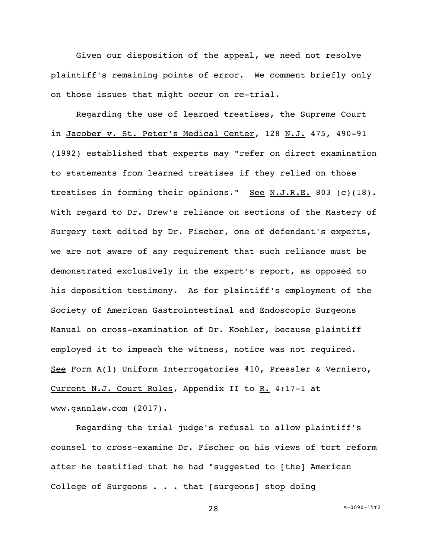Given our disposition of the appeal, we need not resolve plaintiff's remaining points of error. We comment briefly only on those issues that might occur on re-trial.

Regarding the use of learned treatises, the Supreme Court in Jacober v. St. Peter's Medical Center, 128 N.J. 475, 490-91 (1992) established that experts may "refer on direct examination to statements from learned treatises if they relied on those treatises in forming their opinions." See N.J.R.E. 803 (c)(18). With regard to Dr. Drew's reliance on sections of the Mastery of Surgery text edited by Dr. Fischer, one of defendant's experts, we are not aware of any requirement that such reliance must be demonstrated exclusively in the expert's report, as opposed to his deposition testimony. As for plaintiff's employment of the Society of American Gastrointestinal and Endoscopic Surgeons Manual on cross-examination of Dr. Koehler, because plaintiff employed it to impeach the witness, notice was not required. See Form A(1) Uniform Interrogatories #10, Pressler & Verniero, Current N.J. Court Rules, Appendix II to R. 4:17-1 at www.gannlaw.com (2017).

Regarding the trial judge's refusal to allow plaintiff's counsel to cross-examine Dr. Fischer on his views of tort reform after he testified that he had "suggested to [the] American College of Surgeons . . . that [surgeons] stop doing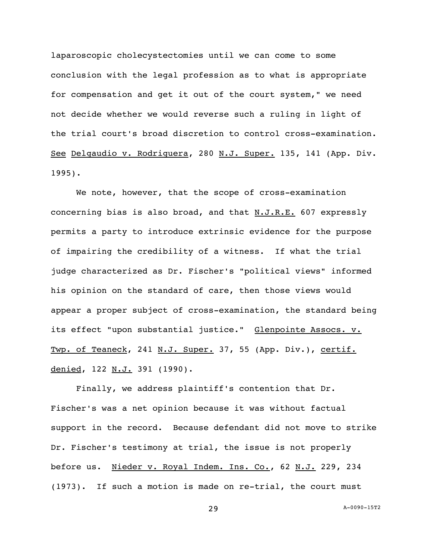laparoscopic cholecystectomies until we can come to some conclusion with the legal profession as to what is appropriate for compensation and get it out of the court system," we need not decide whether we would reverse such a ruling in light of the trial court's broad discretion to control cross-examination. See Delgaudio v. Rodriguera, 280 N.J. Super. 135, 141 (App. Div. 1995).

We note, however, that the scope of cross-examination concerning bias is also broad, and that  $N.J.R.E.$  607 expressly permits a party to introduce extrinsic evidence for the purpose of impairing the credibility of a witness. If what the trial judge characterized as Dr. Fischer's "political views" informed his opinion on the standard of care, then those views would appear a proper subject of cross-examination, the standard being its effect "upon substantial justice." Glenpointe Assocs. v. Twp. of Teaneck, 241 N.J. Super. 37, 55 (App. Div.), certif. denied, 122 N.J. 391 (1990).

Finally, we address plaintiff's contention that Dr. Fischer's was a net opinion because it was without factual support in the record. Because defendant did not move to strike Dr. Fischer's testimony at trial, the issue is not properly before us. Nieder v. Royal Indem. Ins. Co., 62 N.J. 229, 234 (1973). If such a motion is made on re-trial, the court must